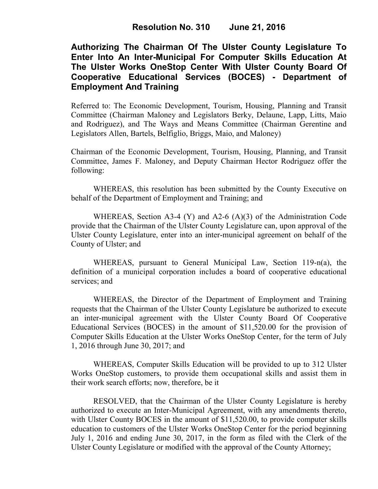## **Authorizing The Chairman Of The Ulster County Legislature To Enter Into An Inter-Municipal For Computer Skills Education At The Ulster Works OneStop Center With Ulster County Board Of Cooperative Educational Services (BOCES) - Department of Employment And Training**

Referred to: The Economic Development, Tourism, Housing, Planning and Transit Committee (Chairman Maloney and Legislators Berky, Delaune, Lapp, Litts, Maio and Rodriguez), and The Ways and Means Committee (Chairman Gerentine and Legislators Allen, Bartels, Belfiglio, Briggs, Maio, and Maloney)

Chairman of the Economic Development, Tourism, Housing, Planning, and Transit Committee, James F. Maloney, and Deputy Chairman Hector Rodriguez offer the following:

WHEREAS, this resolution has been submitted by the County Executive on behalf of the Department of Employment and Training; and

WHEREAS, Section A3-4 (Y) and A2-6 (A)(3) of the Administration Code provide that the Chairman of the Ulster County Legislature can, upon approval of the Ulster County Legislature, enter into an inter-municipal agreement on behalf of the County of Ulster; and

WHEREAS, pursuant to General Municipal Law, Section 119-n(a), the definition of a municipal corporation includes a board of cooperative educational services; and

WHEREAS, the Director of the Department of Employment and Training requests that the Chairman of the Ulster County Legislature be authorized to execute an inter-municipal agreement with the Ulster County Board Of Cooperative Educational Services (BOCES) in the amount of \$11,520.00 for the provision of Computer Skills Education at the Ulster Works OneStop Center, for the term of July 1, 2016 through June 30, 2017; and

WHEREAS, Computer Skills Education will be provided to up to 312 Ulster Works OneStop customers, to provide them occupational skills and assist them in their work search efforts; now, therefore, be it

RESOLVED, that the Chairman of the Ulster County Legislature is hereby authorized to execute an Inter-Municipal Agreement, with any amendments thereto, with Ulster County BOCES in the amount of \$11,520.00, to provide computer skills education to customers of the Ulster Works OneStop Center for the period beginning July 1, 2016 and ending June 30, 2017, in the form as filed with the Clerk of the Ulster County Legislature or modified with the approval of the County Attorney;